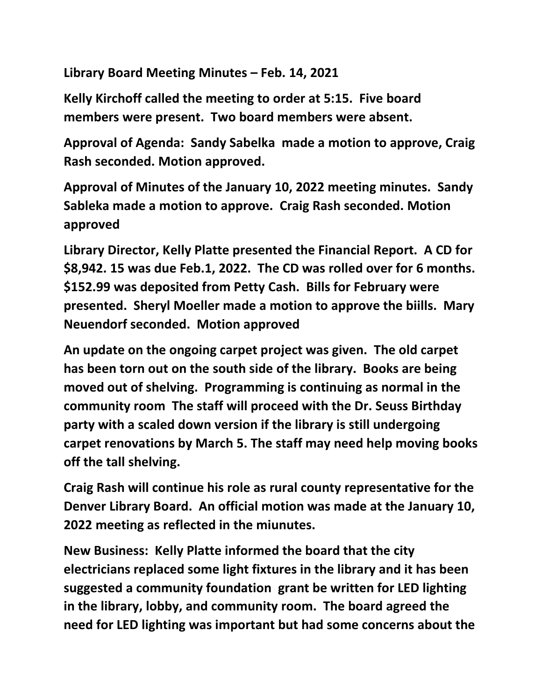**Library Board Meeting Minutes – Feb. 14, 2021**

**Kelly Kirchoff called the meeting to order at 5:15. Five board members were present. Two board members were absent.**

**Approval of Agenda: Sandy Sabelka made a motion to approve, Craig Rash seconded. Motion approved.**

**Approval of Minutes of the January 10, 2022 meeting minutes. Sandy Sableka made a motion to approve. Craig Rash seconded. Motion approved**

**Library Director, Kelly Platte presented the Financial Report. A CD for \$8,942. 15 was due Feb.1, 2022. The CD was rolled over for 6 months. \$152.99 was deposited from Petty Cash. Bills for February were presented. Sheryl Moeller made a motion to approve the biills. Mary Neuendorf seconded. Motion approved**

**An update on the ongoing carpet project was given. The old carpet has been torn out on the south side of the library. Books are being moved out of shelving. Programming is continuing as normal in the community room The staff will proceed with the Dr. Seuss Birthday party with a scaled down version if the library is still undergoing carpet renovations by March 5. The staff may need help moving books off the tall shelving.**

**Craig Rash will continue his role as rural county representative for the Denver Library Board. An official motion was made at the January 10, 2022 meeting as reflected in the miunutes.**

**New Business: Kelly Platte informed the board that the city electricians replaced some light fixtures in the library and it has been suggested a community foundation grant be written for LED lighting in the library, lobby, and community room. The board agreed the need for LED lighting was important but had some concerns about the**